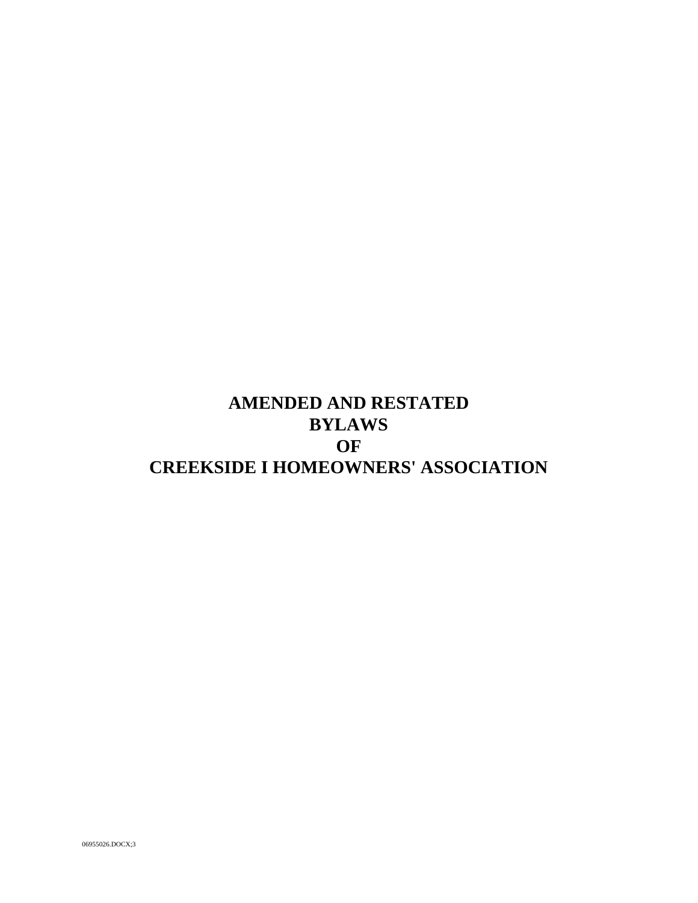# **AMENDED AND RESTATED BYLAWS OF CREEKSIDE I HOMEOWNERS' ASSOCIATION**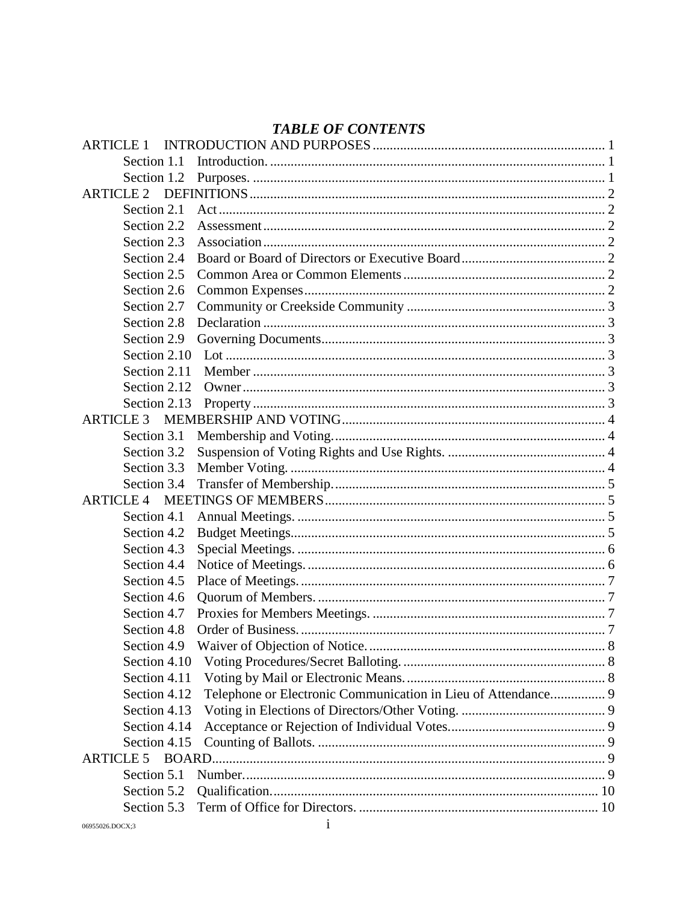# **TABLE OF CONTENTS**

| <b>ARTICLE 1</b> |                                                               |  |
|------------------|---------------------------------------------------------------|--|
| Section 1.1      |                                                               |  |
| Section 1.2      |                                                               |  |
| <b>ARTICLE 2</b> |                                                               |  |
| Section 2.1      |                                                               |  |
| Section 2.2      |                                                               |  |
| Section 2.3      |                                                               |  |
| Section 2.4      |                                                               |  |
| Section 2.5      |                                                               |  |
| Section 2.6      |                                                               |  |
| Section 2.7      |                                                               |  |
| Section 2.8      |                                                               |  |
| Section 2.9      |                                                               |  |
| Section 2.10     |                                                               |  |
| Section 2.11     |                                                               |  |
| Section 2.12     |                                                               |  |
| Section 2.13     |                                                               |  |
| <b>ARTICLE 3</b> |                                                               |  |
| Section 3.1      |                                                               |  |
| Section 3.2      |                                                               |  |
| Section 3.3      |                                                               |  |
| Section 3.4      |                                                               |  |
| <b>ARTICLE 4</b> |                                                               |  |
| Section 4.1      |                                                               |  |
| Section 4.2      |                                                               |  |
| Section 4.3      |                                                               |  |
| Section 4.4      |                                                               |  |
| Section 4.5      |                                                               |  |
| Section 4.6      |                                                               |  |
| Section 4.7      |                                                               |  |
| Section 4.8      |                                                               |  |
| Section 4.9      |                                                               |  |
| Section 4.10     |                                                               |  |
| Section 4.11     |                                                               |  |
| Section 4.12     | Telephone or Electronic Communication in Lieu of Attendance 9 |  |
| Section 4.13     |                                                               |  |
| Section 4.14     |                                                               |  |
| Section 4.15     |                                                               |  |
| <b>ARTICLE 5</b> |                                                               |  |
| Section 5.1      |                                                               |  |
| Section 5.2      |                                                               |  |
| Section 5.3      |                                                               |  |
|                  |                                                               |  |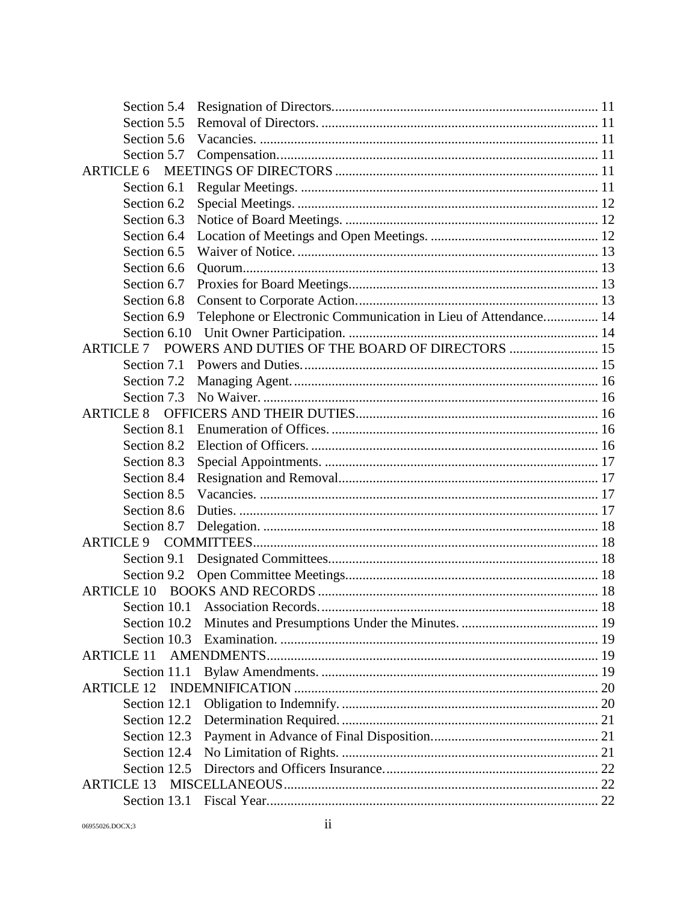| Section 5.4       |                                                                |  |
|-------------------|----------------------------------------------------------------|--|
| Section 5.5       |                                                                |  |
| Section 5.6       |                                                                |  |
| Section 5.7       |                                                                |  |
| <b>ARTICLE 6</b>  |                                                                |  |
| Section 6.1       |                                                                |  |
| Section 6.2       |                                                                |  |
| Section 6.3       |                                                                |  |
| Section 6.4       |                                                                |  |
| Section 6.5       |                                                                |  |
| Section 6.6       |                                                                |  |
| Section 6.7       |                                                                |  |
| Section 6.8       |                                                                |  |
| Section 6.9       | Telephone or Electronic Communication in Lieu of Attendance 14 |  |
| Section 6.10      |                                                                |  |
| <b>ARTICLE 7</b>  | POWERS AND DUTIES OF THE BOARD OF DIRECTORS  15                |  |
| Section 7.1       |                                                                |  |
| Section 7.2       |                                                                |  |
| Section 7.3       |                                                                |  |
| <b>ARTICLE 8</b>  |                                                                |  |
| Section 8.1       |                                                                |  |
| Section 8.2       |                                                                |  |
| Section 8.3       |                                                                |  |
| Section 8.4       |                                                                |  |
| Section 8.5       |                                                                |  |
| Section 8.6       |                                                                |  |
| Section 8.7       |                                                                |  |
| <b>ARTICLE 9</b>  |                                                                |  |
| Section 9.1       |                                                                |  |
| Section 9.2       |                                                                |  |
| <b>ARTICLE 10</b> |                                                                |  |
|                   |                                                                |  |
| Section 10.2      |                                                                |  |
| Section 10.3      |                                                                |  |
| <b>ARTICLE 11</b> |                                                                |  |
| Section 11.1      |                                                                |  |
| <b>ARTICLE 12</b> |                                                                |  |
| Section 12.1      |                                                                |  |
| Section 12.2      |                                                                |  |
| Section 12.3      |                                                                |  |
| Section 12.4      |                                                                |  |
| Section 12.5      |                                                                |  |
| <b>ARTICLE 13</b> |                                                                |  |
|                   |                                                                |  |
|                   |                                                                |  |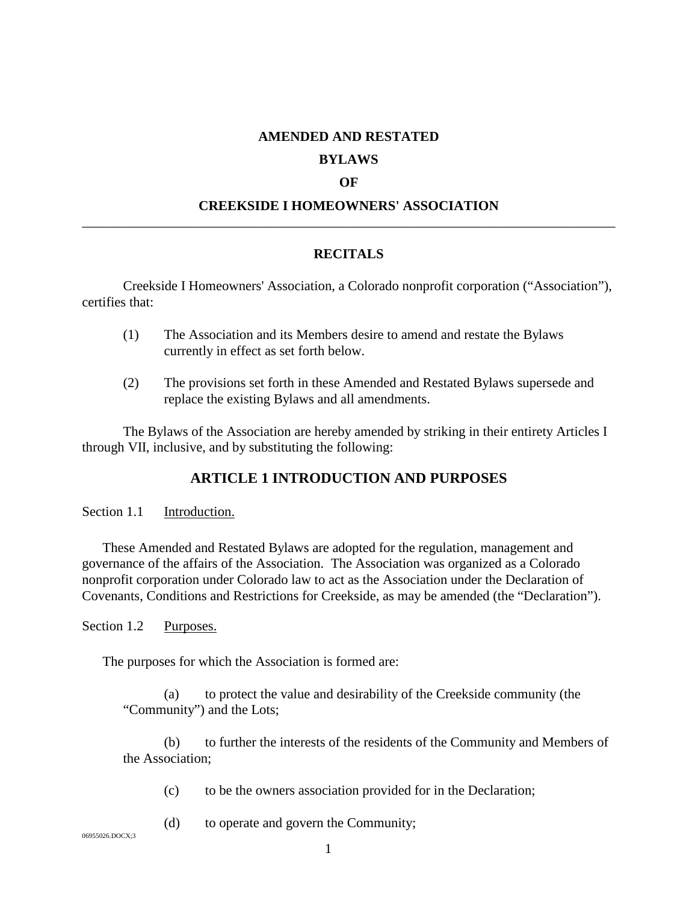#### **AMENDED AND RESTATED**

#### **BYLAWS**

#### **OF**

## **CREEKSIDE I HOMEOWNERS' ASSOCIATION** \_\_\_\_\_\_\_\_\_\_\_\_\_\_\_\_\_\_\_\_\_\_\_\_\_\_\_\_\_\_\_\_\_\_\_\_\_\_\_\_\_\_\_\_\_\_\_\_\_\_\_\_\_\_\_\_\_\_\_\_\_\_\_\_\_\_\_\_\_\_\_\_\_\_\_\_\_\_

#### **RECITALS**

Creekside I Homeowners' Association, a Colorado nonprofit corporation ("Association"), certifies that:

- (1) The Association and its Members desire to amend and restate the Bylaws currently in effect as set forth below.
- (2) The provisions set forth in these Amended and Restated Bylaws supersede and replace the existing Bylaws and all amendments.

<span id="page-4-0"></span>The Bylaws of the Association are hereby amended by striking in their entirety Articles I through VII, inclusive, and by substituting the following:

# **ARTICLE 1 INTRODUCTION AND PURPOSES**

<span id="page-4-1"></span>Section 1.1 Introduction.

These Amended and Restated Bylaws are adopted for the regulation, management and governance of the affairs of the Association. The Association was organized as a Colorado nonprofit corporation under Colorado law to act as the Association under the Declaration of Covenants, Conditions and Restrictions for Creekside, as may be amended (the "Declaration").

<span id="page-4-2"></span>Section 1.2 Purposes.

The purposes for which the Association is formed are:

(a) to protect the value and desirability of the Creekside community (the "Community") and the Lots;

(b) to further the interests of the residents of the Community and Members of the Association;

(c) to be the owners association provided for in the Declaration;

(d) to operate and govern the Community;

06955026.DOCX;3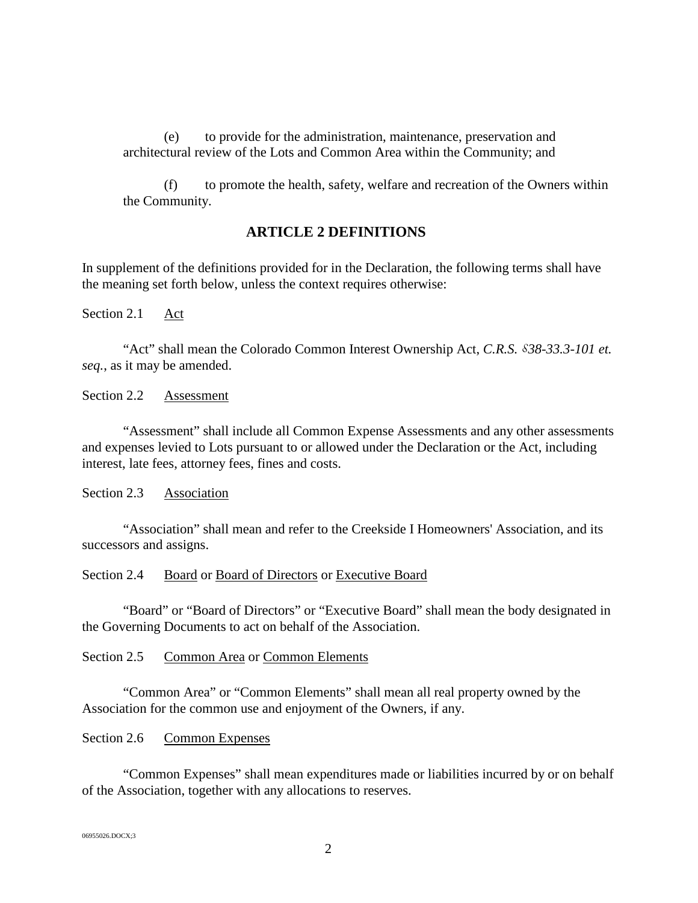(e) to provide for the administration, maintenance, preservation and architectural review of the Lots and Common Area within the Community; and

<span id="page-5-0"></span>(f) to promote the health, safety, welfare and recreation of the Owners within the Community.

## **ARTICLE 2 DEFINITIONS**

In supplement of the definitions provided for in the Declaration, the following terms shall have the meaning set forth below, unless the context requires otherwise:

<span id="page-5-1"></span>Section 2.1 Act

"Act" shall mean the Colorado Common Interest Ownership Act, *C.R.S. §*38-33.3-101 et. *seq.*, as it may be amended.

<span id="page-5-2"></span>Section 2.2 Assessment

"Assessment" shall include all Common Expense Assessments and any other assessments and expenses levied to Lots pursuant to or allowed under the Declaration or the Act, including interest, late fees, attorney fees, fines and costs.

<span id="page-5-3"></span>Section 2.3 Association

"Association" shall mean and refer to the Creekside I Homeowners' Association, and its successors and assigns.

<span id="page-5-4"></span>Section 2.4 Board or Board of Directors or Executive Board

"Board" or "Board of Directors" or "Executive Board" shall mean the body designated in the Governing Documents to act on behalf of the Association.

#### <span id="page-5-5"></span>Section 2.5 Common Area or Common Elements

"Common Area" or "Common Elements" shall mean all real property owned by the Association for the common use and enjoyment of the Owners, if any.

## <span id="page-5-6"></span>Section 2.6 Common Expenses

"Common Expenses" shall mean expenditures made or liabilities incurred by or on behalf of the Association, together with any allocations to reserves.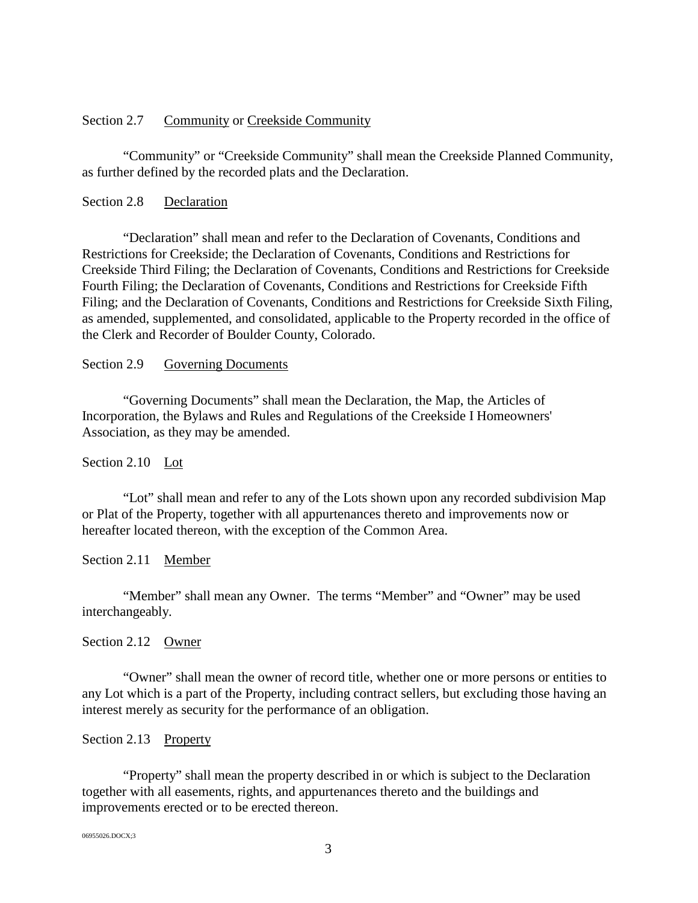#### <span id="page-6-0"></span>Section 2.7 Community or Creekside Community

"Community" or "Creekside Community" shall mean the Creekside Planned Community, as further defined by the recorded plats and the Declaration.

## <span id="page-6-1"></span>Section 2.8 Declaration

"Declaration" shall mean and refer to the Declaration of Covenants, Conditions and Restrictions for Creekside; the Declaration of Covenants, Conditions and Restrictions for Creekside Third Filing; the Declaration of Covenants, Conditions and Restrictions for Creekside Fourth Filing; the Declaration of Covenants, Conditions and Restrictions for Creekside Fifth Filing; and the Declaration of Covenants, Conditions and Restrictions for Creekside Sixth Filing, as amended, supplemented, and consolidated, applicable to the Property recorded in the office of the Clerk and Recorder of Boulder County, Colorado.

#### <span id="page-6-2"></span>Section 2.9 Governing Documents

"Governing Documents" shall mean the Declaration, the Map, the Articles of Incorporation, the Bylaws and Rules and Regulations of the Creekside I Homeowners' Association, as they may be amended.

## <span id="page-6-3"></span>Section 2.10 Lot

"Lot" shall mean and refer to any of the Lots shown upon any recorded subdivision Map or Plat of the Property, together with all appurtenances thereto and improvements now or hereafter located thereon, with the exception of the Common Area.

## <span id="page-6-4"></span>Section 2.11 Member

"Member" shall mean any Owner. The terms "Member" and "Owner" may be used interchangeably.

#### <span id="page-6-5"></span>Section 2.12 Owner

"Owner" shall mean the owner of record title, whether one or more persons or entities to any Lot which is a part of the Property, including contract sellers, but excluding those having an interest merely as security for the performance of an obligation.

## <span id="page-6-6"></span>Section 2.13 Property

"Property" shall mean the property described in or which is subject to the Declaration together with all easements, rights, and appurtenances thereto and the buildings and improvements erected or to be erected thereon.

06955026.DOCX;3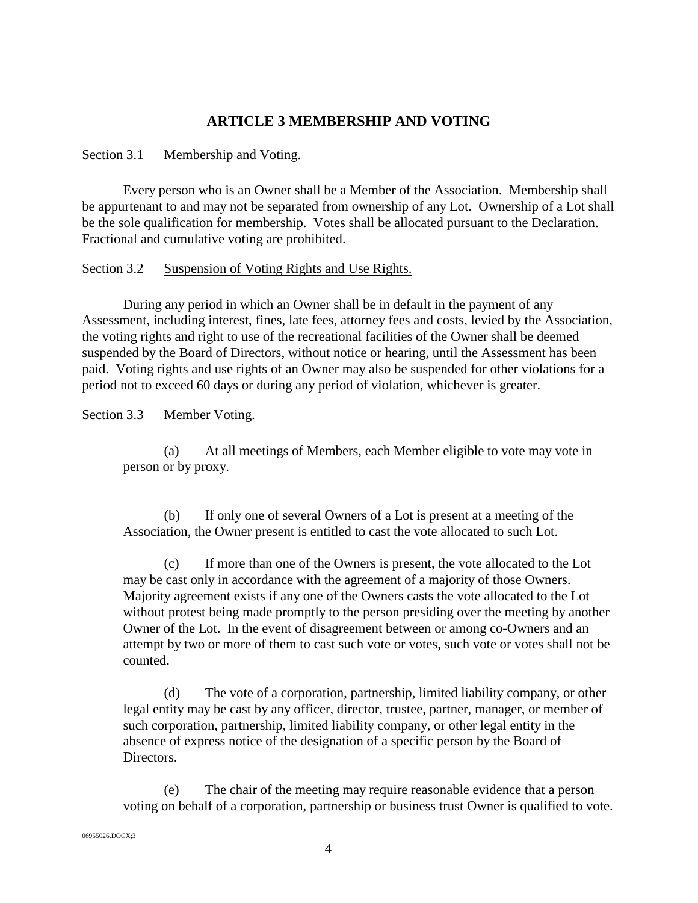# **ARTICLE 3 MEMBERSHIP AND VOTING**

## <span id="page-7-1"></span><span id="page-7-0"></span>Section 3.1 Membership and Voting.

Every person who is an Owner shall be a Member of the Association. Membership shall be appurtenant to and may not be separated from ownership of any Lot. Ownership of a Lot shall be the sole qualification for membership. Votes shall be allocated pursuant to the Declaration. Fractional and cumulative voting are prohibited.

#### <span id="page-7-2"></span>Section 3.2 Suspension of Voting Rights and Use Rights.

During any period in which an Owner shall be in default in the payment of any Assessment, including interest, fines, late fees, attorney fees and costs, levied by the Association, the voting rights and right to use of the recreational facilities of the Owner shall be deemed suspended by the Board of Directors, without notice or hearing, until the Assessment has been paid. Voting rights and use rights of an Owner may also be suspended for other violations for a period not to exceed 60 days or during any period of violation, whichever is greater.

## <span id="page-7-3"></span>Section 3.3 Member Voting.

(a) At all meetings of Members, each Member eligible to vote may vote in person or by proxy.

(b) If only one of several Owners of a Lot is present at a meeting of the Association, the Owner present is entitled to cast the vote allocated to such Lot.

(c) If more than one of the Owners is present, the vote allocated to the Lot may be cast only in accordance with the agreement of a majority of those Owners. Majority agreement exists if any one of the Owners casts the vote allocated to the Lot without protest being made promptly to the person presiding over the meeting by another Owner of the Lot. In the event of disagreement between or among co-Owners and an attempt by two or more of them to cast such vote or votes, such vote or votes shall not be counted.

(d) The vote of a corporation, partnership, limited liability company, or other legal entity may be cast by any officer, director, trustee, partner, manager, or member of such corporation, partnership, limited liability company, or other legal entity in the absence of express notice of the designation of a specific person by the Board of Directors.

(e) The chair of the meeting may require reasonable evidence that a person voting on behalf of a corporation, partnership or business trust Owner is qualified to vote.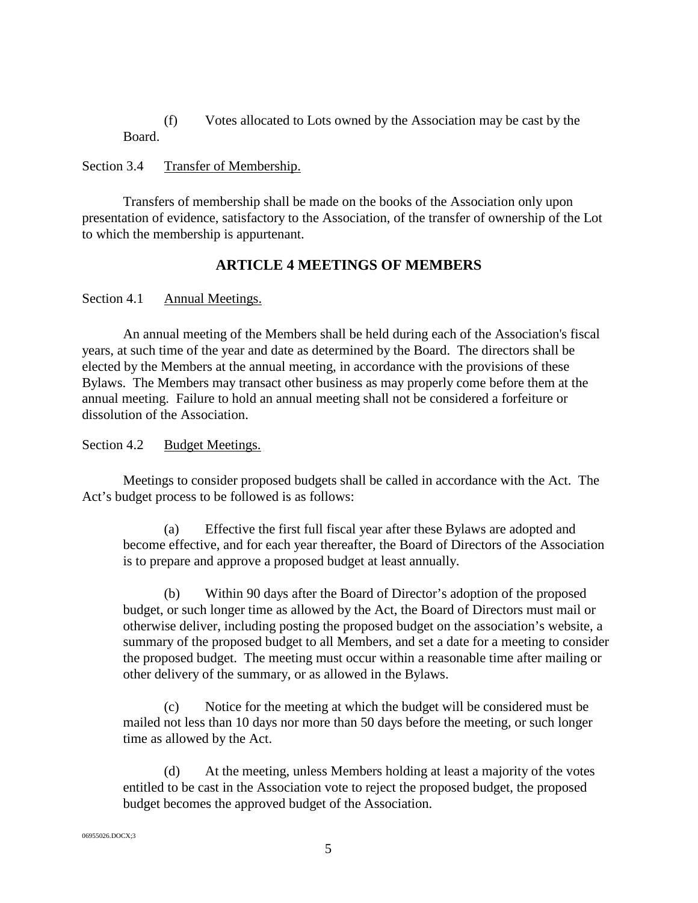(f) Votes allocated to Lots owned by the Association may be cast by the Board.

## <span id="page-8-0"></span>Section 3.4 Transfer of Membership.

<span id="page-8-1"></span>Transfers of membership shall be made on the books of the Association only upon presentation of evidence, satisfactory to the Association, of the transfer of ownership of the Lot to which the membership is appurtenant.

# **ARTICLE 4 MEETINGS OF MEMBERS**

## <span id="page-8-2"></span>Section 4.1 Annual Meetings.

An annual meeting of the Members shall be held during each of the Association's fiscal years, at such time of the year and date as determined by the Board. The directors shall be elected by the Members at the annual meeting, in accordance with the provisions of these Bylaws. The Members may transact other business as may properly come before them at the annual meeting. Failure to hold an annual meeting shall not be considered a forfeiture or dissolution of the Association.

## <span id="page-8-3"></span>Section 4.2 Budget Meetings.

Meetings to consider proposed budgets shall be called in accordance with the Act. The Act's budget process to be followed is as follows:

(a) Effective the first full fiscal year after these Bylaws are adopted and become effective, and for each year thereafter, the Board of Directors of the Association is to prepare and approve a proposed budget at least annually.

(b) Within 90 days after the Board of Director's adoption of the proposed budget, or such longer time as allowed by the Act, the Board of Directors must mail or otherwise deliver, including posting the proposed budget on the association's website, a summary of the proposed budget to all Members, and set a date for a meeting to consider the proposed budget. The meeting must occur within a reasonable time after mailing or other delivery of the summary, or as allowed in the Bylaws.

(c) Notice for the meeting at which the budget will be considered must be mailed not less than 10 days nor more than 50 days before the meeting, or such longer time as allowed by the Act.

(d) At the meeting, unless Members holding at least a majority of the votes entitled to be cast in the Association vote to reject the proposed budget, the proposed budget becomes the approved budget of the Association.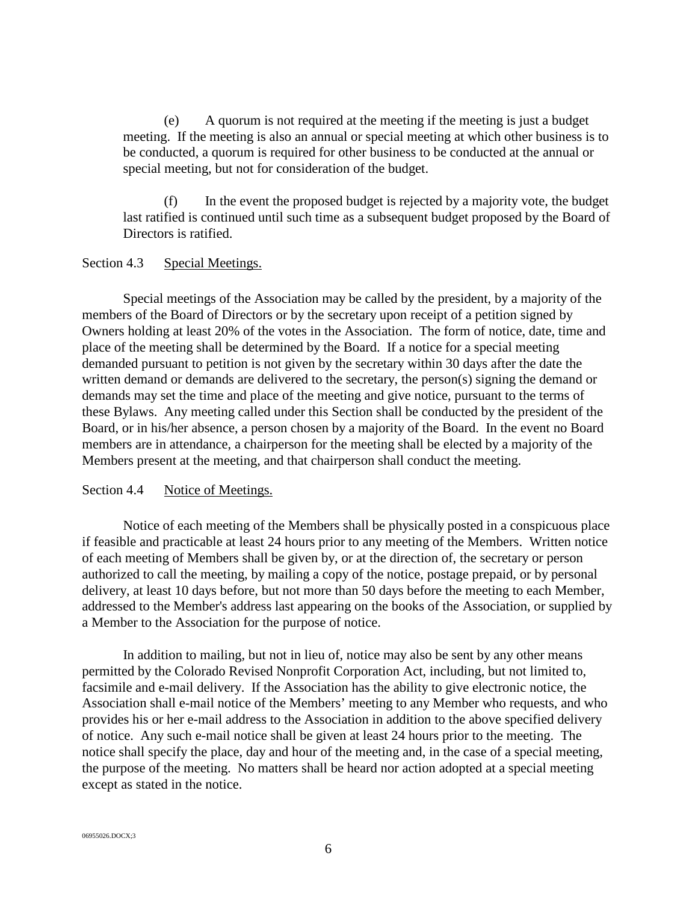(e) A quorum is not required at the meeting if the meeting is just a budget meeting. If the meeting is also an annual or special meeting at which other business is to be conducted, a quorum is required for other business to be conducted at the annual or special meeting, but not for consideration of the budget.

(f) In the event the proposed budget is rejected by a majority vote, the budget last ratified is continued until such time as a subsequent budget proposed by the Board of Directors is ratified.

## <span id="page-9-0"></span>Section 4.3 Special Meetings.

Special meetings of the Association may be called by the president, by a majority of the members of the Board of Directors or by the secretary upon receipt of a petition signed by Owners holding at least 20% of the votes in the Association. The form of notice, date, time and place of the meeting shall be determined by the Board. If a notice for a special meeting demanded pursuant to petition is not given by the secretary within 30 days after the date the written demand or demands are delivered to the secretary, the person(s) signing the demand or demands may set the time and place of the meeting and give notice, pursuant to the terms of these Bylaws. Any meeting called under this Section shall be conducted by the president of the Board, or in his/her absence, a person chosen by a majority of the Board. In the event no Board members are in attendance, a chairperson for the meeting shall be elected by a majority of the Members present at the meeting, and that chairperson shall conduct the meeting.

## <span id="page-9-1"></span>Section 4.4 Notice of Meetings.

Notice of each meeting of the Members shall be physically posted in a conspicuous place if feasible and practicable at least 24 hours prior to any meeting of the Members. Written notice of each meeting of Members shall be given by, or at the direction of, the secretary or person authorized to call the meeting, by mailing a copy of the notice, postage prepaid, or by personal delivery, at least 10 days before, but not more than 50 days before the meeting to each Member, addressed to the Member's address last appearing on the books of the Association, or supplied by a Member to the Association for the purpose of notice.

In addition to mailing, but not in lieu of, notice may also be sent by any other means permitted by the Colorado Revised Nonprofit Corporation Act, including, but not limited to, facsimile and e-mail delivery. If the Association has the ability to give electronic notice, the Association shall e-mail notice of the Members' meeting to any Member who requests, and who provides his or her e-mail address to the Association in addition to the above specified delivery of notice. Any such e-mail notice shall be given at least 24 hours prior to the meeting. The notice shall specify the place, day and hour of the meeting and, in the case of a special meeting, the purpose of the meeting. No matters shall be heard nor action adopted at a special meeting except as stated in the notice.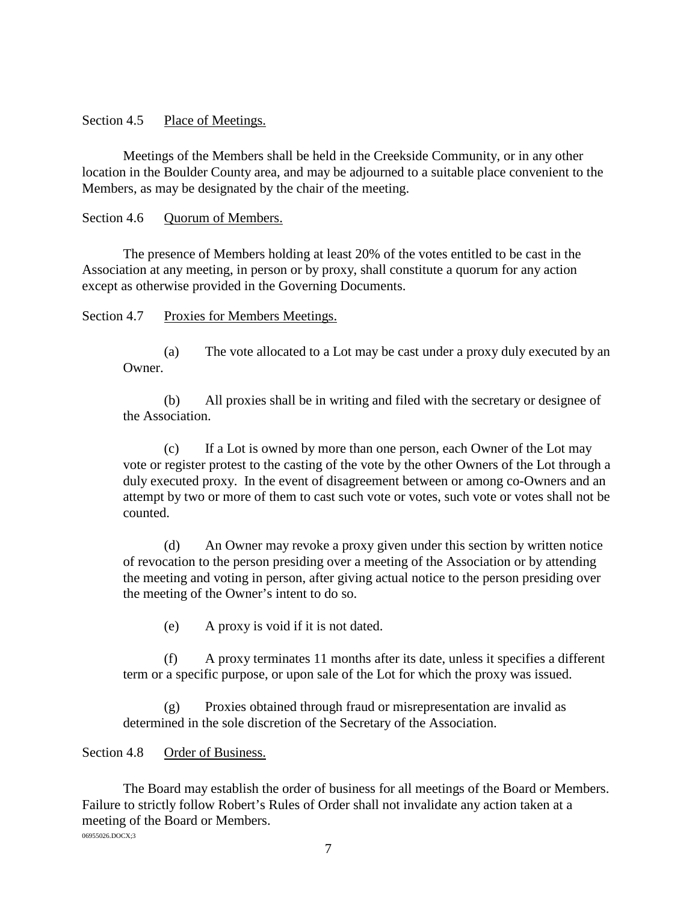<span id="page-10-0"></span>Section 4.5 Place of Meetings.

Meetings of the Members shall be held in the Creekside Community, or in any other location in the Boulder County area, and may be adjourned to a suitable place convenient to the Members, as may be designated by the chair of the meeting.

<span id="page-10-1"></span>Section 4.6 Ouorum of Members.

The presence of Members holding at least 20% of the votes entitled to be cast in the Association at any meeting, in person or by proxy, shall constitute a quorum for any action except as otherwise provided in the Governing Documents.

<span id="page-10-2"></span>Section 4.7 Proxies for Members Meetings.

(a) The vote allocated to a Lot may be cast under a proxy duly executed by an Owner.

(b) All proxies shall be in writing and filed with the secretary or designee of the Association.

(c) If a Lot is owned by more than one person, each Owner of the Lot may vote or register protest to the casting of the vote by the other Owners of the Lot through a duly executed proxy. In the event of disagreement between or among co-Owners and an attempt by two or more of them to cast such vote or votes, such vote or votes shall not be counted.

(d) An Owner may revoke a proxy given under this section by written notice of revocation to the person presiding over a meeting of the Association or by attending the meeting and voting in person, after giving actual notice to the person presiding over the meeting of the Owner's intent to do so.

(e) A proxy is void if it is not dated.

(f) A proxy terminates 11 months after its date, unless it specifies a different term or a specific purpose, or upon sale of the Lot for which the proxy was issued.

(g) Proxies obtained through fraud or misrepresentation are invalid as determined in the sole discretion of the Secretary of the Association.

## <span id="page-10-3"></span>Section 4.8 Order of Business.

06955026.DOCX;3 The Board may establish the order of business for all meetings of the Board or Members. Failure to strictly follow Robert's Rules of Order shall not invalidate any action taken at a meeting of the Board or Members.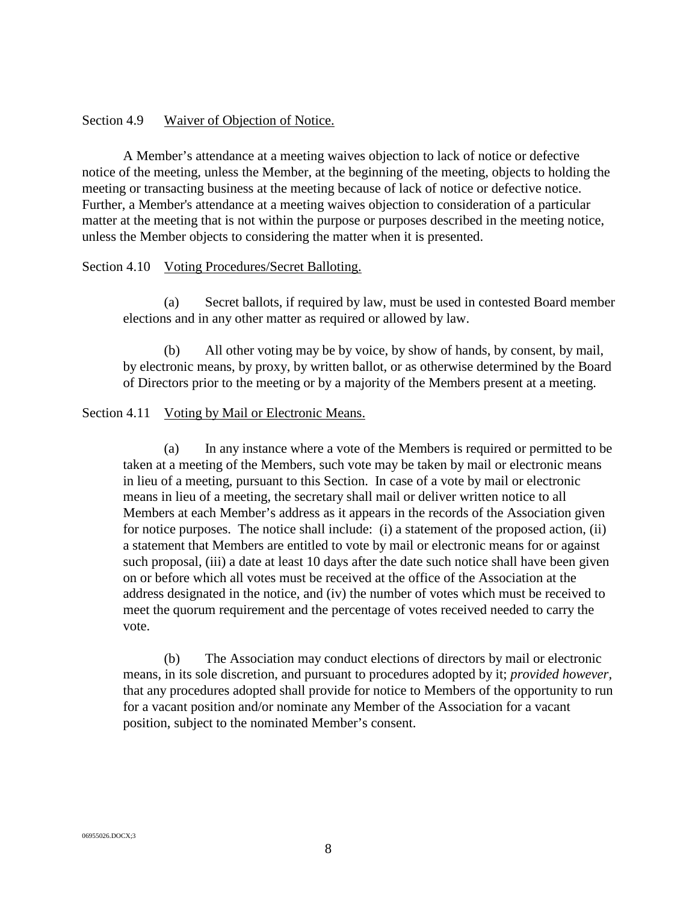#### <span id="page-11-0"></span>Section 4.9 Waiver of Objection of Notice.

A Member's attendance at a meeting waives objection to lack of notice or defective notice of the meeting, unless the Member, at the beginning of the meeting, objects to holding the meeting or transacting business at the meeting because of lack of notice or defective notice. Further, a Member's attendance at a meeting waives objection to consideration of a particular matter at the meeting that is not within the purpose or purposes described in the meeting notice, unless the Member objects to considering the matter when it is presented.

#### <span id="page-11-1"></span>Section 4.10 Voting Procedures/Secret Balloting.

(a) Secret ballots, if required by law, must be used in contested Board member elections and in any other matter as required or allowed by law.

(b) All other voting may be by voice, by show of hands, by consent, by mail, by electronic means, by proxy, by written ballot, or as otherwise determined by the Board of Directors prior to the meeting or by a majority of the Members present at a meeting.

#### <span id="page-11-2"></span>Section 4.11 Voting by Mail or Electronic Means.

(a) In any instance where a vote of the Members is required or permitted to be taken at a meeting of the Members, such vote may be taken by mail or electronic means in lieu of a meeting, pursuant to this Section. In case of a vote by mail or electronic means in lieu of a meeting, the secretary shall mail or deliver written notice to all Members at each Member's address as it appears in the records of the Association given for notice purposes. The notice shall include: (i) a statement of the proposed action, (ii) a statement that Members are entitled to vote by mail or electronic means for or against such proposal, (iii) a date at least 10 days after the date such notice shall have been given on or before which all votes must be received at the office of the Association at the address designated in the notice, and (iv) the number of votes which must be received to meet the quorum requirement and the percentage of votes received needed to carry the vote.

(b) The Association may conduct elections of directors by mail or electronic means, in its sole discretion, and pursuant to procedures adopted by it; *provided however,* that any procedures adopted shall provide for notice to Members of the opportunity to run for a vacant position and/or nominate any Member of the Association for a vacant position, subject to the nominated Member's consent.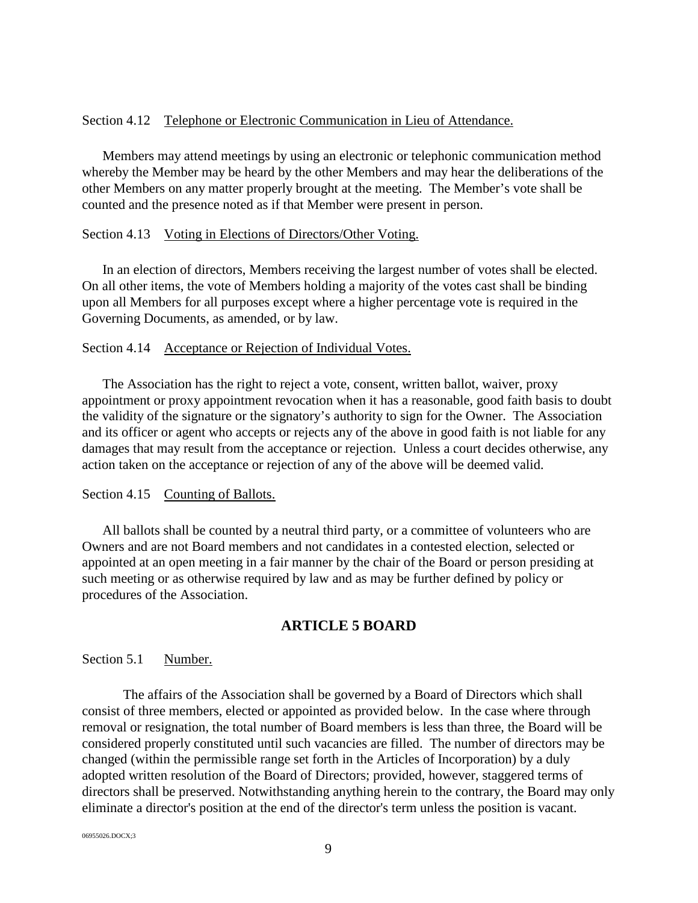#### <span id="page-12-0"></span>Section 4.12 Telephone or Electronic Communication in Lieu of Attendance.

Members may attend meetings by using an electronic or telephonic communication method whereby the Member may be heard by the other Members and may hear the deliberations of the other Members on any matter properly brought at the meeting. The Member's vote shall be counted and the presence noted as if that Member were present in person.

#### <span id="page-12-1"></span>Section 4.13 Voting in Elections of Directors/Other Voting.

In an election of directors, Members receiving the largest number of votes shall be elected. On all other items, the vote of Members holding a majority of the votes cast shall be binding upon all Members for all purposes except where a higher percentage vote is required in the Governing Documents, as amended, or by law.

## <span id="page-12-2"></span>Section 4.14 Acceptance or Rejection of Individual Votes.

The Association has the right to reject a vote, consent, written ballot, waiver, proxy appointment or proxy appointment revocation when it has a reasonable, good faith basis to doubt the validity of the signature or the signatory's authority to sign for the Owner. The Association and its officer or agent who accepts or rejects any of the above in good faith is not liable for any damages that may result from the acceptance or rejection. Unless a court decides otherwise, any action taken on the acceptance or rejection of any of the above will be deemed valid.

## <span id="page-12-3"></span>Section 4.15 Counting of Ballots.

All ballots shall be counted by a neutral third party, or a committee of volunteers who are Owners and are not Board members and not candidates in a contested election, selected or appointed at an open meeting in a fair manner by the chair of the Board or person presiding at such meeting or as otherwise required by law and as may be further defined by policy or procedures of the Association.

# **ARTICLE 5 BOARD**

## <span id="page-12-5"></span><span id="page-12-4"></span>Section 5.1 Number.

The affairs of the Association shall be governed by a Board of Directors which shall consist of three members, elected or appointed as provided below. In the case where through removal or resignation, the total number of Board members is less than three, the Board will be considered properly constituted until such vacancies are filled. The number of directors may be changed (within the permissible range set forth in the Articles of Incorporation) by a duly adopted written resolution of the Board of Directors; provided, however, staggered terms of directors shall be preserved. Notwithstanding anything herein to the contrary, the Board may only eliminate a director's position at the end of the director's term unless the position is vacant.

06955026.DOCX;3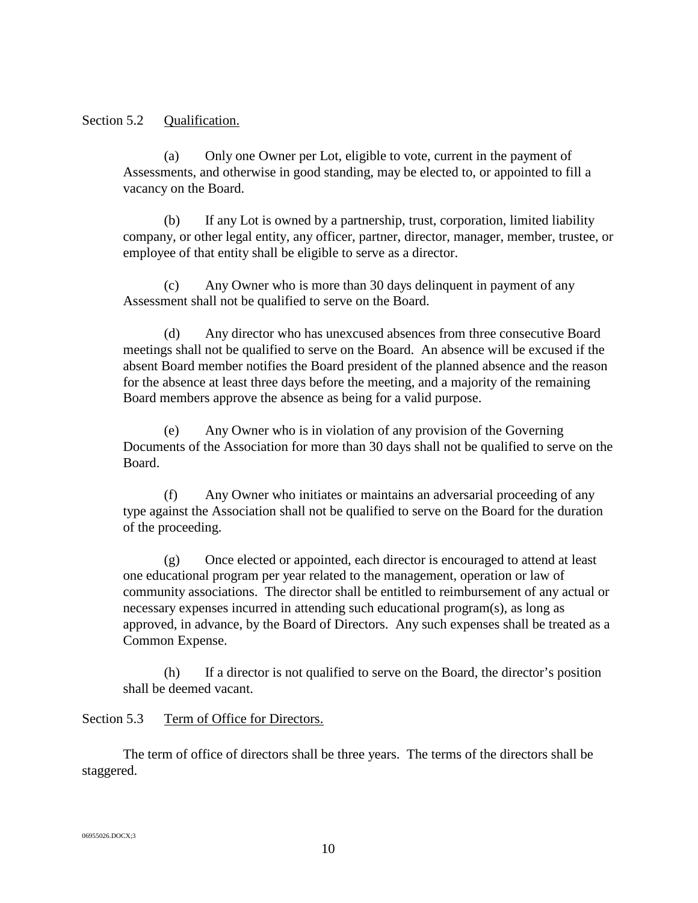## <span id="page-13-0"></span>Section 5.2 Qualification.

(a) Only one Owner per Lot, eligible to vote, current in the payment of Assessments, and otherwise in good standing, may be elected to, or appointed to fill a vacancy on the Board.

(b) If any Lot is owned by a partnership, trust, corporation, limited liability company, or other legal entity, any officer, partner, director, manager, member, trustee, or employee of that entity shall be eligible to serve as a director.

(c) Any Owner who is more than 30 days delinquent in payment of any Assessment shall not be qualified to serve on the Board.

Any director who has unexcused absences from three consecutive Board meetings shall not be qualified to serve on the Board. An absence will be excused if the absent Board member notifies the Board president of the planned absence and the reason for the absence at least three days before the meeting, and a majority of the remaining Board members approve the absence as being for a valid purpose.

(e) Any Owner who is in violation of any provision of the Governing Documents of the Association for more than 30 days shall not be qualified to serve on the Board.

(f) Any Owner who initiates or maintains an adversarial proceeding of any type against the Association shall not be qualified to serve on the Board for the duration of the proceeding.

(g) Once elected or appointed, each director is encouraged to attend at least one educational program per year related to the management, operation or law of community associations. The director shall be entitled to reimbursement of any actual or necessary expenses incurred in attending such educational program(s), as long as approved, in advance, by the Board of Directors. Any such expenses shall be treated as a Common Expense.

(h) If a director is not qualified to serve on the Board, the director's position shall be deemed vacant.

## <span id="page-13-1"></span>Section 5.3 Term of Office for Directors.

The term of office of directors shall be three years. The terms of the directors shall be staggered.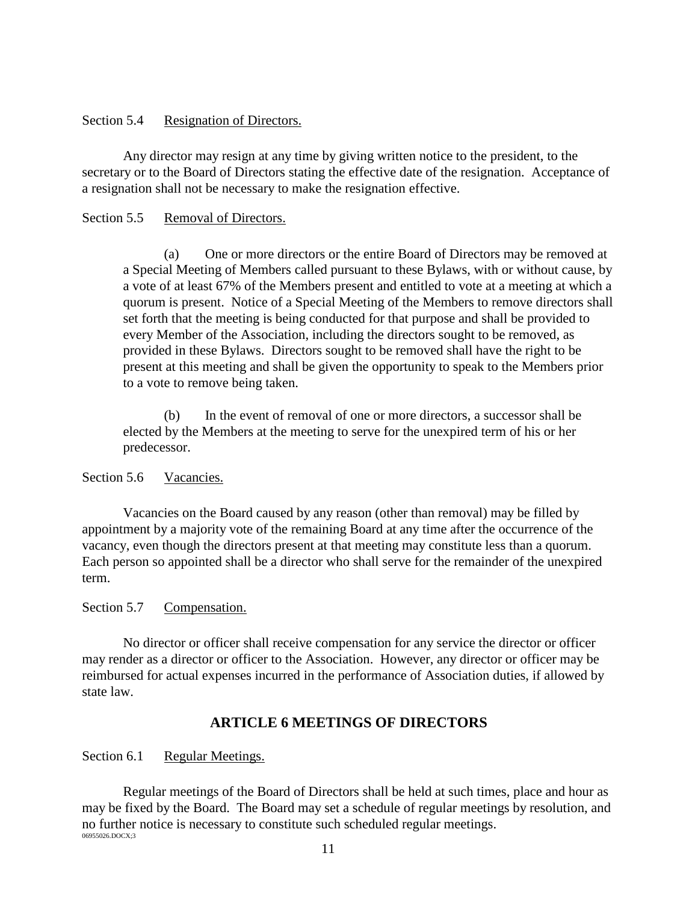## <span id="page-14-0"></span>Section 5.4 Resignation of Directors.

Any director may resign at any time by giving written notice to the president, to the secretary or to the Board of Directors stating the effective date of the resignation. Acceptance of a resignation shall not be necessary to make the resignation effective.

## <span id="page-14-1"></span>Section 5.5 Removal of Directors.

(a) One or more directors or the entire Board of Directors may be removed at a Special Meeting of Members called pursuant to these Bylaws, with or without cause, by a vote of at least 67% of the Members present and entitled to vote at a meeting at which a quorum is present. Notice of a Special Meeting of the Members to remove directors shall set forth that the meeting is being conducted for that purpose and shall be provided to every Member of the Association, including the directors sought to be removed, as provided in these Bylaws. Directors sought to be removed shall have the right to be present at this meeting and shall be given the opportunity to speak to the Members prior to a vote to remove being taken.

(b) In the event of removal of one or more directors, a successor shall be elected by the Members at the meeting to serve for the unexpired term of his or her predecessor.

<span id="page-14-2"></span>Section 5.6 Vacancies.

Vacancies on the Board caused by any reason (other than removal) may be filled by appointment by a majority vote of the remaining Board at any time after the occurrence of the vacancy, even though the directors present at that meeting may constitute less than a quorum. Each person so appointed shall be a director who shall serve for the remainder of the unexpired term.

<span id="page-14-3"></span>Section 5.7 Compensation.

No director or officer shall receive compensation for any service the director or officer may render as a director or officer to the Association. However, any director or officer may be reimbursed for actual expenses incurred in the performance of Association duties, if allowed by state law.

# **ARTICLE 6 MEETINGS OF DIRECTORS**

<span id="page-14-5"></span><span id="page-14-4"></span>Section 6.1 Regular Meetings.

06955026.DOCX;3 Regular meetings of the Board of Directors shall be held at such times, place and hour as may be fixed by the Board. The Board may set a schedule of regular meetings by resolution, and no further notice is necessary to constitute such scheduled regular meetings.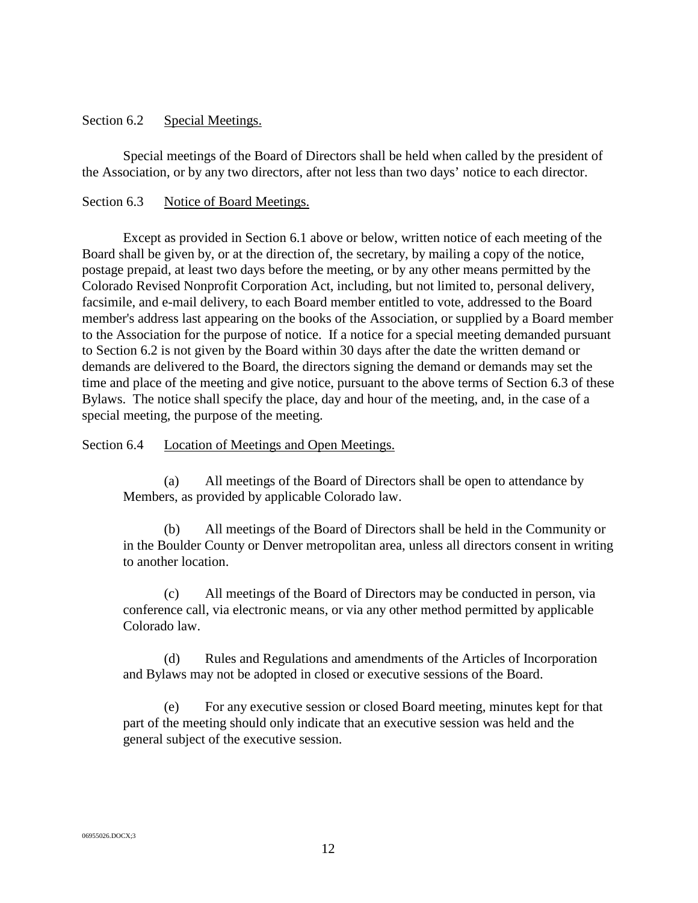#### <span id="page-15-0"></span>Section 6.2 Special Meetings.

Special meetings of the Board of Directors shall be held when called by the president of the Association, or by any two directors, after not less than two days' notice to each director.

## <span id="page-15-1"></span>Section 6.3 Notice of Board Meetings.

Except as provided in Section 6.1 above or below, written notice of each meeting of the Board shall be given by, or at the direction of, the secretary, by mailing a copy of the notice, postage prepaid, at least two days before the meeting, or by any other means permitted by the Colorado Revised Nonprofit Corporation Act, including, but not limited to, personal delivery, facsimile, and e-mail delivery, to each Board member entitled to vote, addressed to the Board member's address last appearing on the books of the Association, or supplied by a Board member to the Association for the purpose of notice. If a notice for a special meeting demanded pursuant to Section 6.2 is not given by the Board within 30 days after the date the written demand or demands are delivered to the Board, the directors signing the demand or demands may set the time and place of the meeting and give notice, pursuant to the above terms of Section 6.3 of these Bylaws. The notice shall specify the place, day and hour of the meeting, and, in the case of a special meeting, the purpose of the meeting.

#### <span id="page-15-2"></span>Section 6.4 Location of Meetings and Open Meetings.

(a) All meetings of the Board of Directors shall be open to attendance by Members, as provided by applicable Colorado law.

(b) All meetings of the Board of Directors shall be held in the Community or in the Boulder County or Denver metropolitan area, unless all directors consent in writing to another location.

(c) All meetings of the Board of Directors may be conducted in person, via conference call, via electronic means, or via any other method permitted by applicable Colorado law.

(d) Rules and Regulations and amendments of the Articles of Incorporation and Bylaws may not be adopted in closed or executive sessions of the Board.

(e) For any executive session or closed Board meeting, minutes kept for that part of the meeting should only indicate that an executive session was held and the general subject of the executive session.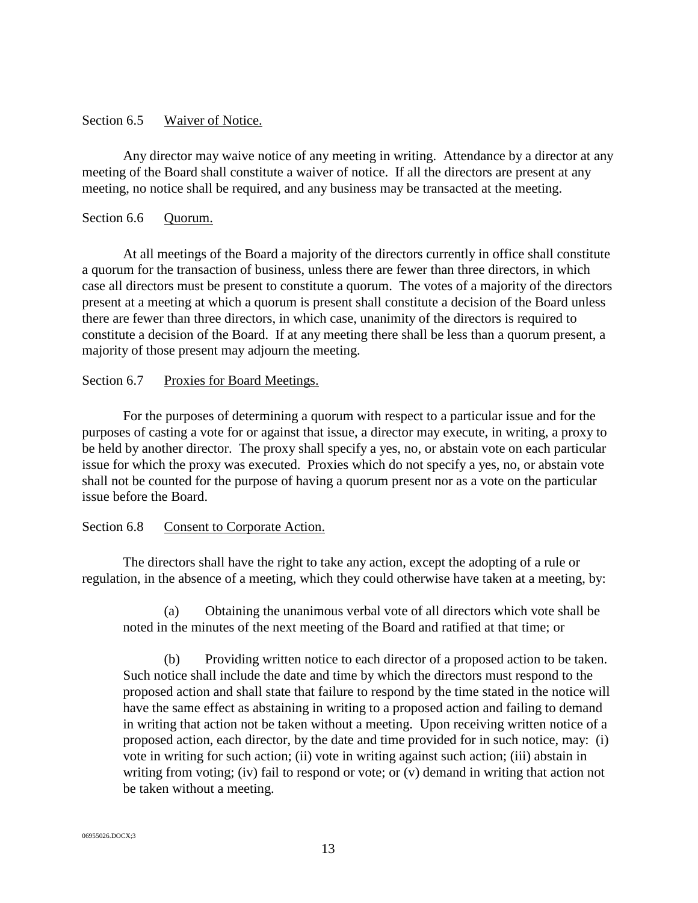#### <span id="page-16-0"></span>Section 6.5 Waiver of Notice.

Any director may waive notice of any meeting in writing. Attendance by a director at any meeting of the Board shall constitute a waiver of notice. If all the directors are present at any meeting, no notice shall be required, and any business may be transacted at the meeting.

#### <span id="page-16-1"></span>Section 6.6 Ouorum.

At all meetings of the Board a majority of the directors currently in office shall constitute a quorum for the transaction of business, unless there are fewer than three directors, in which case all directors must be present to constitute a quorum. The votes of a majority of the directors present at a meeting at which a quorum is present shall constitute a decision of the Board unless there are fewer than three directors, in which case, unanimity of the directors is required to constitute a decision of the Board. If at any meeting there shall be less than a quorum present, a majority of those present may adjourn the meeting.

## <span id="page-16-2"></span>Section 6.7 Proxies for Board Meetings.

For the purposes of determining a quorum with respect to a particular issue and for the purposes of casting a vote for or against that issue, a director may execute, in writing, a proxy to be held by another director. The proxy shall specify a yes, no, or abstain vote on each particular issue for which the proxy was executed. Proxies which do not specify a yes, no, or abstain vote shall not be counted for the purpose of having a quorum present nor as a vote on the particular issue before the Board.

## <span id="page-16-3"></span>Section 6.8 Consent to Corporate Action.

The directors shall have the right to take any action, except the adopting of a rule or regulation, in the absence of a meeting, which they could otherwise have taken at a meeting, by:

(a) Obtaining the unanimous verbal vote of all directors which vote shall be noted in the minutes of the next meeting of the Board and ratified at that time; or

(b) Providing written notice to each director of a proposed action to be taken. Such notice shall include the date and time by which the directors must respond to the proposed action and shall state that failure to respond by the time stated in the notice will have the same effect as abstaining in writing to a proposed action and failing to demand in writing that action not be taken without a meeting. Upon receiving written notice of a proposed action, each director, by the date and time provided for in such notice, may: (i) vote in writing for such action; (ii) vote in writing against such action; (iii) abstain in writing from voting; (iv) fail to respond or vote; or (v) demand in writing that action not be taken without a meeting.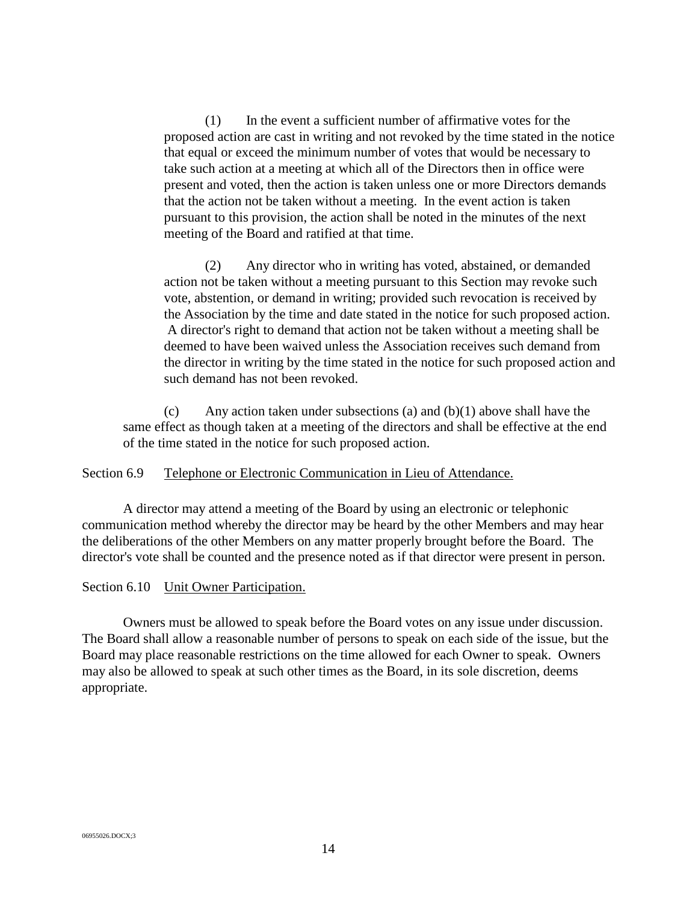(1) In the event a sufficient number of affirmative votes for the proposed action are cast in writing and not revoked by the time stated in the notice that equal or exceed the minimum number of votes that would be necessary to take such action at a meeting at which all of the Directors then in office were present and voted, then the action is taken unless one or more Directors demands that the action not be taken without a meeting. In the event action is taken pursuant to this provision, the action shall be noted in the minutes of the next meeting of the Board and ratified at that time.

(2) Any director who in writing has voted, abstained, or demanded action not be taken without a meeting pursuant to this Section may revoke such vote, abstention, or demand in writing; provided such revocation is received by the Association by the time and date stated in the notice for such proposed action. A director's right to demand that action not be taken without a meeting shall be deemed to have been waived unless the Association receives such demand from the director in writing by the time stated in the notice for such proposed action and such demand has not been revoked.

(c) Any action taken under subsections (a) and  $(b)(1)$  above shall have the same effect as though taken at a meeting of the directors and shall be effective at the end of the time stated in the notice for such proposed action.

<span id="page-17-0"></span>Section 6.9 Telephone or Electronic Communication in Lieu of Attendance.

A director may attend a meeting of the Board by using an electronic or telephonic communication method whereby the director may be heard by the other Members and may hear the deliberations of the other Members on any matter properly brought before the Board. The director's vote shall be counted and the presence noted as if that director were present in person.

<span id="page-17-1"></span>Section 6.10 Unit Owner Participation.

Owners must be allowed to speak before the Board votes on any issue under discussion. The Board shall allow a reasonable number of persons to speak on each side of the issue, but the Board may place reasonable restrictions on the time allowed for each Owner to speak. Owners may also be allowed to speak at such other times as the Board, in its sole discretion, deems appropriate.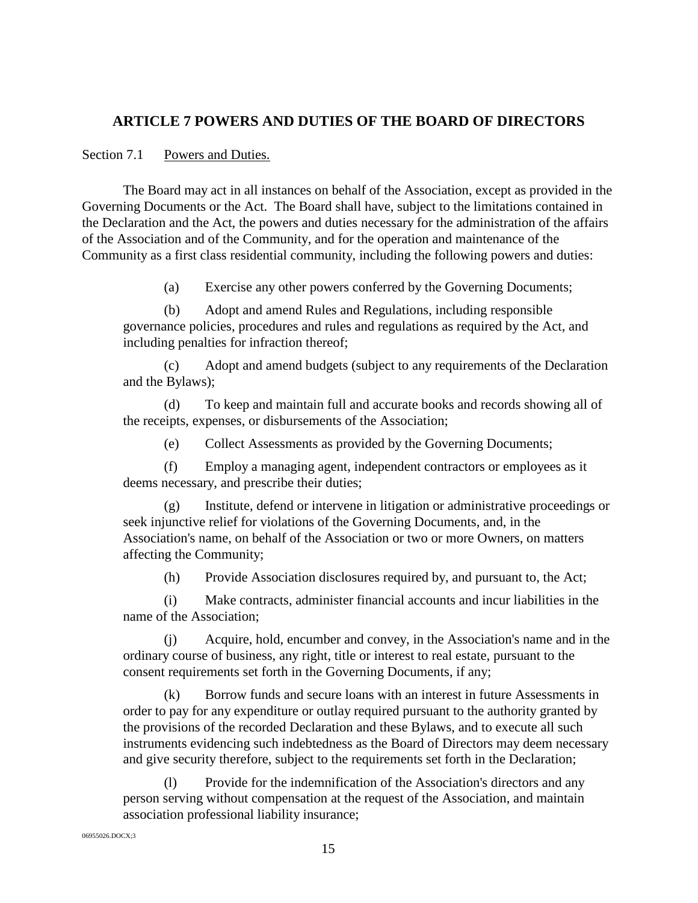# <span id="page-18-0"></span>**ARTICLE 7 POWERS AND DUTIES OF THE BOARD OF DIRECTORS**

## <span id="page-18-1"></span>Section 7.1 Powers and Duties.

The Board may act in all instances on behalf of the Association, except as provided in the Governing Documents or the Act. The Board shall have, subject to the limitations contained in the Declaration and the Act, the powers and duties necessary for the administration of the affairs of the Association and of the Community, and for the operation and maintenance of the Community as a first class residential community, including the following powers and duties:

(a) Exercise any other powers conferred by the Governing Documents;

(b) Adopt and amend Rules and Regulations, including responsible governance policies, procedures and rules and regulations as required by the Act, and including penalties for infraction thereof;

(c) Adopt and amend budgets (subject to any requirements of the Declaration and the Bylaws);

(d) To keep and maintain full and accurate books and records showing all of the receipts, expenses, or disbursements of the Association;

(e) Collect Assessments as provided by the Governing Documents;

(f) Employ a managing agent, independent contractors or employees as it deems necessary, and prescribe their duties;

(g) Institute, defend or intervene in litigation or administrative proceedings or seek injunctive relief for violations of the Governing Documents, and, in the Association's name, on behalf of the Association or two or more Owners, on matters affecting the Community;

(h) Provide Association disclosures required by, and pursuant to, the Act;

(i) Make contracts, administer financial accounts and incur liabilities in the name of the Association;

(j) Acquire, hold, encumber and convey, in the Association's name and in the ordinary course of business, any right, title or interest to real estate, pursuant to the consent requirements set forth in the Governing Documents, if any;

(k) Borrow funds and secure loans with an interest in future Assessments in order to pay for any expenditure or outlay required pursuant to the authority granted by the provisions of the recorded Declaration and these Bylaws, and to execute all such instruments evidencing such indebtedness as the Board of Directors may deem necessary and give security therefore, subject to the requirements set forth in the Declaration;

(l) Provide for the indemnification of the Association's directors and any person serving without compensation at the request of the Association, and maintain association professional liability insurance;

06955026.DOCX;3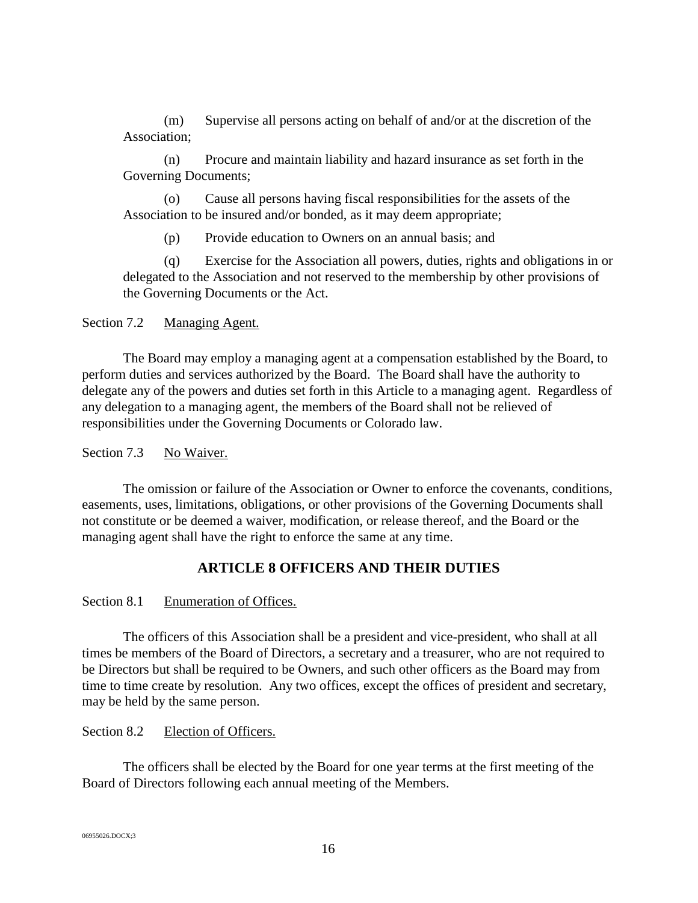(m) Supervise all persons acting on behalf of and/or at the discretion of the Association;

(n) Procure and maintain liability and hazard insurance as set forth in the Governing Documents;

(o) Cause all persons having fiscal responsibilities for the assets of the Association to be insured and/or bonded, as it may deem appropriate;

(p) Provide education to Owners on an annual basis; and

(q) Exercise for the Association all powers, duties, rights and obligations in or delegated to the Association and not reserved to the membership by other provisions of the Governing Documents or the Act.

<span id="page-19-0"></span>Section 7.2 Managing Agent.

The Board may employ a managing agent at a compensation established by the Board, to perform duties and services authorized by the Board. The Board shall have the authority to delegate any of the powers and duties set forth in this Article to a managing agent. Regardless of any delegation to a managing agent, the members of the Board shall not be relieved of responsibilities under the Governing Documents or Colorado law.

<span id="page-19-1"></span>Section 7.3 No Waiver.

The omission or failure of the Association or Owner to enforce the covenants, conditions, easements, uses, limitations, obligations, or other provisions of the Governing Documents shall not constitute or be deemed a waiver, modification, or release thereof, and the Board or the managing agent shall have the right to enforce the same at any time.

# **ARTICLE 8 OFFICERS AND THEIR DUTIES**

## <span id="page-19-3"></span><span id="page-19-2"></span>Section 8.1 Enumeration of Offices.

The officers of this Association shall be a president and vice-president, who shall at all times be members of the Board of Directors, a secretary and a treasurer, who are not required to be Directors but shall be required to be Owners, and such other officers as the Board may from time to time create by resolution. Any two offices, except the offices of president and secretary, may be held by the same person.

<span id="page-19-4"></span>Section 8.2 Election of Officers.

The officers shall be elected by the Board for one year terms at the first meeting of the Board of Directors following each annual meeting of the Members.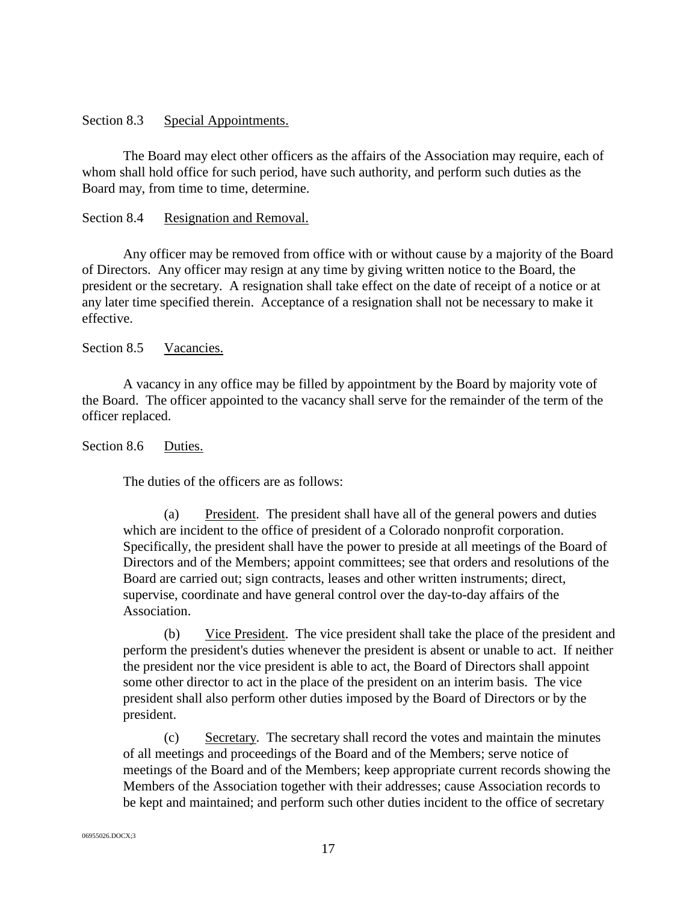## <span id="page-20-0"></span>Section 8.3 Special Appointments.

The Board may elect other officers as the affairs of the Association may require, each of whom shall hold office for such period, have such authority, and perform such duties as the Board may, from time to time, determine.

#### <span id="page-20-1"></span>Section 8.4 Resignation and Removal.

Any officer may be removed from office with or without cause by a majority of the Board of Directors. Any officer may resign at any time by giving written notice to the Board, the president or the secretary. A resignation shall take effect on the date of receipt of a notice or at any later time specified therein. Acceptance of a resignation shall not be necessary to make it effective.

#### <span id="page-20-2"></span>Section 8.5 Vacancies.

A vacancy in any office may be filled by appointment by the Board by majority vote of the Board. The officer appointed to the vacancy shall serve for the remainder of the term of the officer replaced.

#### <span id="page-20-3"></span>Section 8.6 Duties.

The duties of the officers are as follows:

(a) President. The president shall have all of the general powers and duties which are incident to the office of president of a Colorado nonprofit corporation. Specifically, the president shall have the power to preside at all meetings of the Board of Directors and of the Members; appoint committees; see that orders and resolutions of the Board are carried out; sign contracts, leases and other written instruments; direct, supervise, coordinate and have general control over the day-to-day affairs of the Association.

(b) Vice President. The vice president shall take the place of the president and perform the president's duties whenever the president is absent or unable to act. If neither the president nor the vice president is able to act, the Board of Directors shall appoint some other director to act in the place of the president on an interim basis. The vice president shall also perform other duties imposed by the Board of Directors or by the president.

(c) Secretary. The secretary shall record the votes and maintain the minutes of all meetings and proceedings of the Board and of the Members; serve notice of meetings of the Board and of the Members; keep appropriate current records showing the Members of the Association together with their addresses; cause Association records to be kept and maintained; and perform such other duties incident to the office of secretary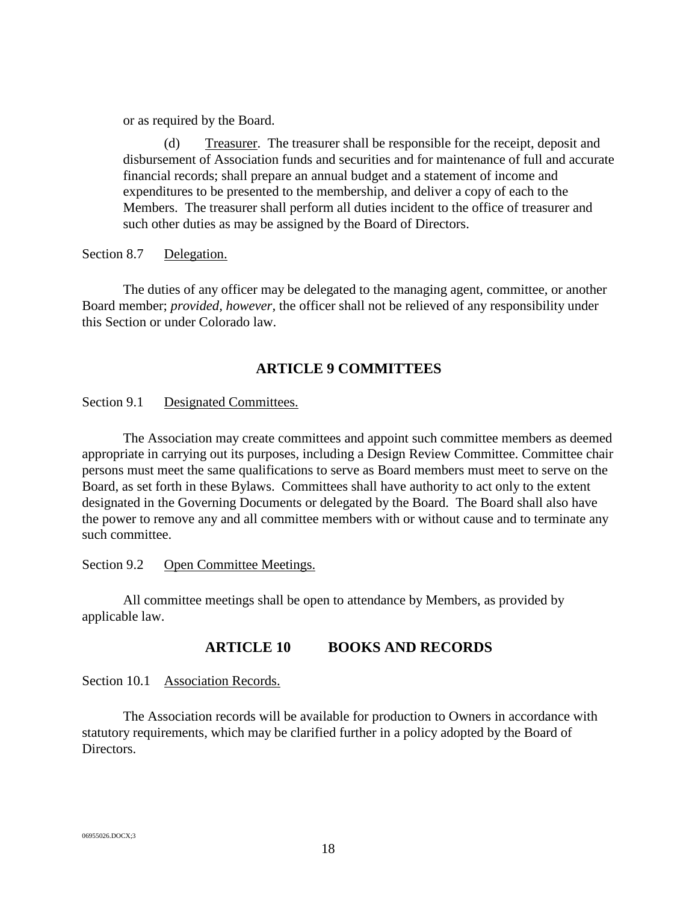or as required by the Board.

(d) Treasurer. The treasurer shall be responsible for the receipt, deposit and disbursement of Association funds and securities and for maintenance of full and accurate financial records; shall prepare an annual budget and a statement of income and expenditures to be presented to the membership, and deliver a copy of each to the Members. The treasurer shall perform all duties incident to the office of treasurer and such other duties as may be assigned by the Board of Directors.

<span id="page-21-0"></span>Section 8.7 Delegation.

The duties of any officer may be delegated to the managing agent, committee, or another Board member; *provided, however,* the officer shall not be relieved of any responsibility under this Section or under Colorado law.

# **ARTICLE 9 COMMITTEES**

<span id="page-21-2"></span><span id="page-21-1"></span>Section 9.1 Designated Committees.

The Association may create committees and appoint such committee members as deemed appropriate in carrying out its purposes, including a Design Review Committee. Committee chair persons must meet the same qualifications to serve as Board members must meet to serve on the Board, as set forth in these Bylaws. Committees shall have authority to act only to the extent designated in the Governing Documents or delegated by the Board. The Board shall also have the power to remove any and all committee members with or without cause and to terminate any such committee.

<span id="page-21-3"></span>Section 9.2 Open Committee Meetings.

<span id="page-21-4"></span>All committee meetings shall be open to attendance by Members, as provided by applicable law.

# **ARTICLE 10 BOOKS AND RECORDS**

<span id="page-21-5"></span>Section 10.1 Association Records.

The Association records will be available for production to Owners in accordance with statutory requirements, which may be clarified further in a policy adopted by the Board of Directors.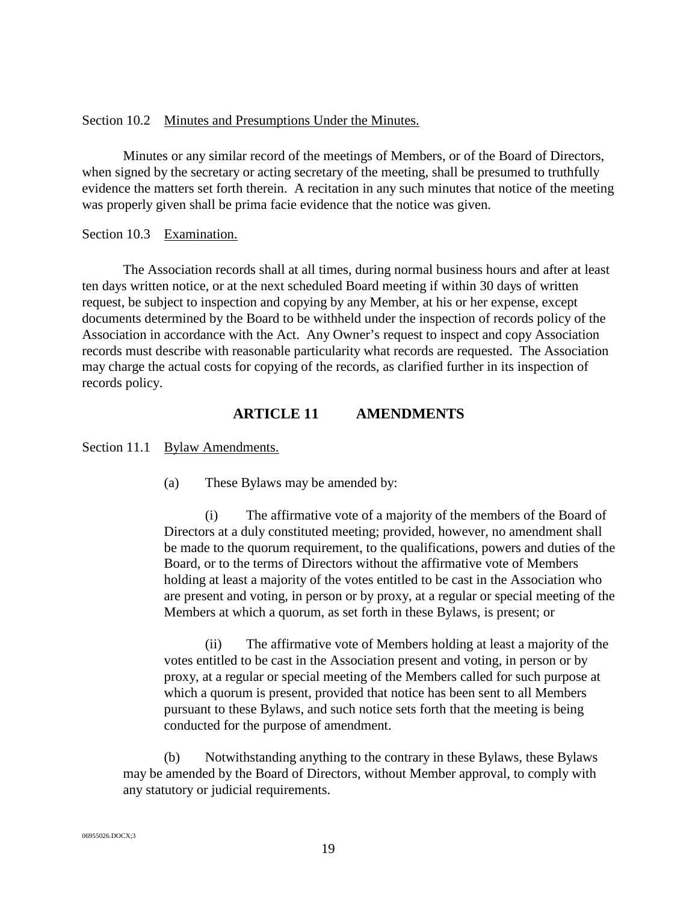#### <span id="page-22-0"></span>Section 10.2 Minutes and Presumptions Under the Minutes.

Minutes or any similar record of the meetings of Members, or of the Board of Directors, when signed by the secretary or acting secretary of the meeting, shall be presumed to truthfully evidence the matters set forth therein. A recitation in any such minutes that notice of the meeting was properly given shall be prima facie evidence that the notice was given.

## <span id="page-22-1"></span>Section 10.3 Examination.

The Association records shall at all times, during normal business hours and after at least ten days written notice, or at the next scheduled Board meeting if within 30 days of written request, be subject to inspection and copying by any Member, at his or her expense, except documents determined by the Board to be withheld under the inspection of records policy of the Association in accordance with the Act. Any Owner's request to inspect and copy Association records must describe with reasonable particularity what records are requested. The Association may charge the actual costs for copying of the records, as clarified further in its inspection of records policy.

## **ARTICLE 11 AMENDMENTS**

<span id="page-22-3"></span><span id="page-22-2"></span>Section 11.1 Bylaw Amendments.

(a) These Bylaws may be amended by:

(i) The affirmative vote of a majority of the members of the Board of Directors at a duly constituted meeting; provided, however, no amendment shall be made to the quorum requirement, to the qualifications, powers and duties of the Board, or to the terms of Directors without the affirmative vote of Members holding at least a majority of the votes entitled to be cast in the Association who are present and voting, in person or by proxy, at a regular or special meeting of the Members at which a quorum, as set forth in these Bylaws, is present; or

(ii) The affirmative vote of Members holding at least a majority of the votes entitled to be cast in the Association present and voting, in person or by proxy, at a regular or special meeting of the Members called for such purpose at which a quorum is present, provided that notice has been sent to all Members pursuant to these Bylaws, and such notice sets forth that the meeting is being conducted for the purpose of amendment.

(b) Notwithstanding anything to the contrary in these Bylaws, these Bylaws may be amended by the Board of Directors, without Member approval, to comply with any statutory or judicial requirements.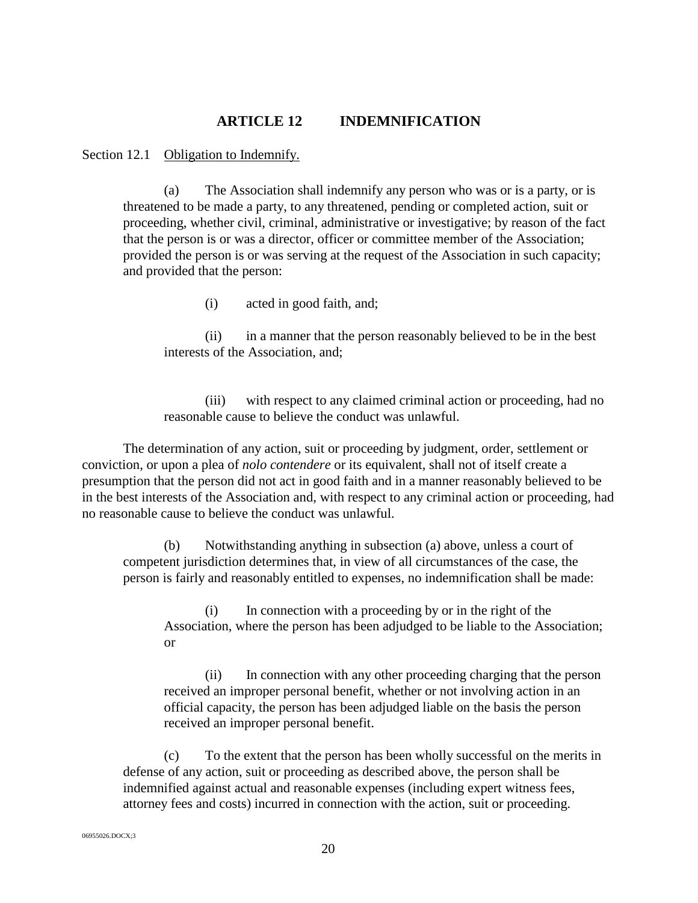## **ARTICLE 12 INDEMNIFICATION**

<span id="page-23-1"></span><span id="page-23-0"></span>Section 12.1 Obligation to Indemnify.

(a) The Association shall indemnify any person who was or is a party, or is threatened to be made a party, to any threatened, pending or completed action, suit or proceeding, whether civil, criminal, administrative or investigative; by reason of the fact that the person is or was a director, officer or committee member of the Association; provided the person is or was serving at the request of the Association in such capacity; and provided that the person:

(i) acted in good faith, and;

(ii) in a manner that the person reasonably believed to be in the best interests of the Association, and;

(iii) with respect to any claimed criminal action or proceeding, had no reasonable cause to believe the conduct was unlawful.

The determination of any action, suit or proceeding by judgment, order, settlement or conviction, or upon a plea of *nolo contendere* or its equivalent, shall not of itself create a presumption that the person did not act in good faith and in a manner reasonably believed to be in the best interests of the Association and, with respect to any criminal action or proceeding, had no reasonable cause to believe the conduct was unlawful.

(b) Notwithstanding anything in subsection (a) above, unless a court of competent jurisdiction determines that, in view of all circumstances of the case, the person is fairly and reasonably entitled to expenses, no indemnification shall be made:

(i) In connection with a proceeding by or in the right of the Association, where the person has been adjudged to be liable to the Association; or

(ii) In connection with any other proceeding charging that the person received an improper personal benefit, whether or not involving action in an official capacity, the person has been adjudged liable on the basis the person received an improper personal benefit.

(c) To the extent that the person has been wholly successful on the merits in defense of any action, suit or proceeding as described above, the person shall be indemnified against actual and reasonable expenses (including expert witness fees, attorney fees and costs) incurred in connection with the action, suit or proceeding.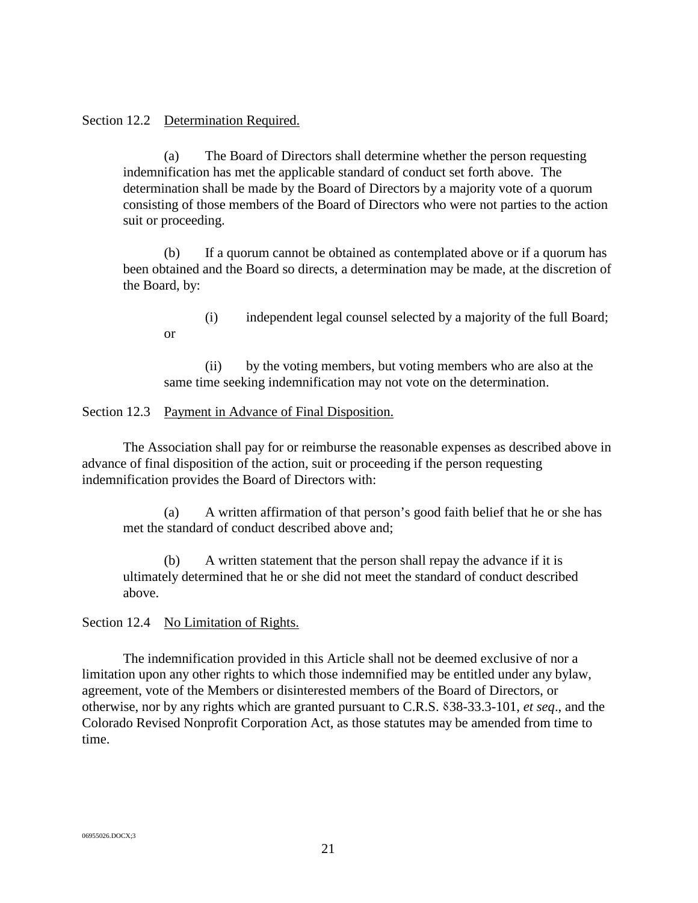#### <span id="page-24-0"></span>Section 12.2 Determination Required.

or

(a) The Board of Directors shall determine whether the person requesting indemnification has met the applicable standard of conduct set forth above. The determination shall be made by the Board of Directors by a majority vote of a quorum consisting of those members of the Board of Directors who were not parties to the action suit or proceeding.

(b) If a quorum cannot be obtained as contemplated above or if a quorum has been obtained and the Board so directs, a determination may be made, at the discretion of the Board, by:

(i) independent legal counsel selected by a majority of the full Board;

(ii) by the voting members, but voting members who are also at the same time seeking indemnification may not vote on the determination.

<span id="page-24-1"></span>Section 12.3 Payment in Advance of Final Disposition.

The Association shall pay for or reimburse the reasonable expenses as described above in advance of final disposition of the action, suit or proceeding if the person requesting indemnification provides the Board of Directors with:

(a) A written affirmation of that person's good faith belief that he or she has met the standard of conduct described above and;

(b) A written statement that the person shall repay the advance if it is ultimately determined that he or she did not meet the standard of conduct described above.

<span id="page-24-2"></span>Section 12.4 No Limitation of Rights.

The indemnification provided in this Article shall not be deemed exclusive of nor a limitation upon any other rights to which those indemnified may be entitled under any bylaw, agreement, vote of the Members or disinterested members of the Board of Directors, or otherwise, nor by any rights which are granted pursuant to C.R.S. ⸹38-33.3-101, *et seq*., and the Colorado Revised Nonprofit Corporation Act, as those statutes may be amended from time to time.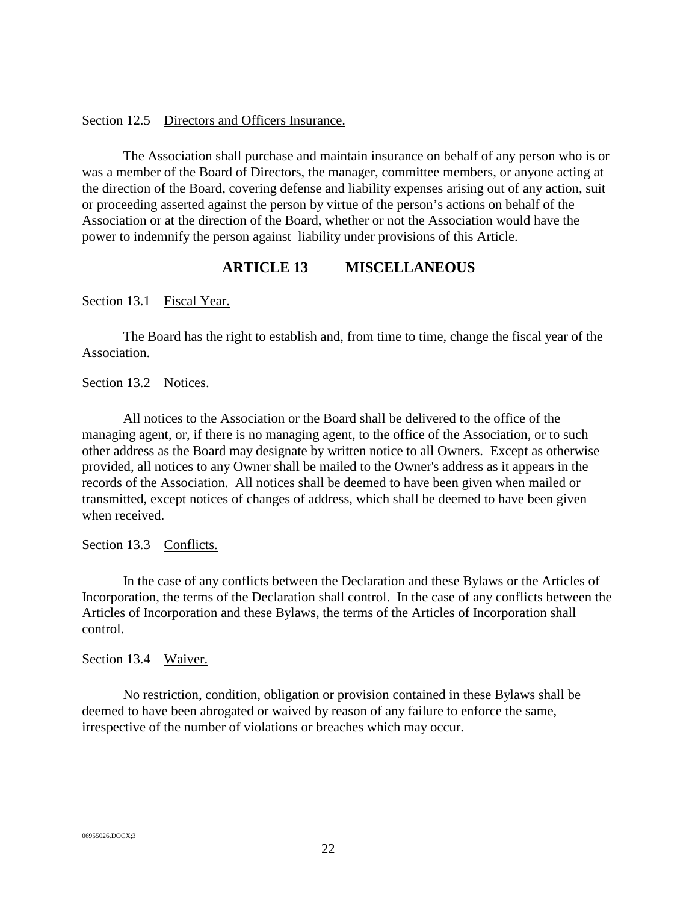#### <span id="page-25-0"></span>Section 12.5 Directors and Officers Insurance.

The Association shall purchase and maintain insurance on behalf of any person who is or was a member of the Board of Directors, the manager, committee members, or anyone acting at the direction of the Board, covering defense and liability expenses arising out of any action, suit or proceeding asserted against the person by virtue of the person's actions on behalf of the Association or at the direction of the Board, whether or not the Association would have the power to indemnify the person against liability under provisions of this Article.

#### **ARTICLE 13 MISCELLANEOUS**

<span id="page-25-2"></span><span id="page-25-1"></span>Section 13.1 Fiscal Year.

The Board has the right to establish and, from time to time, change the fiscal year of the Association.

<span id="page-25-3"></span>Section 13.2 Notices.

All notices to the Association or the Board shall be delivered to the office of the managing agent, or, if there is no managing agent, to the office of the Association, or to such other address as the Board may designate by written notice to all Owners. Except as otherwise provided, all notices to any Owner shall be mailed to the Owner's address as it appears in the records of the Association. All notices shall be deemed to have been given when mailed or transmitted, except notices of changes of address, which shall be deemed to have been given when received.

<span id="page-25-4"></span>Section 13.3 Conflicts.

In the case of any conflicts between the Declaration and these Bylaws or the Articles of Incorporation, the terms of the Declaration shall control. In the case of any conflicts between the Articles of Incorporation and these Bylaws, the terms of the Articles of Incorporation shall control.

<span id="page-25-5"></span>Section 13.4 Waiver.

No restriction, condition, obligation or provision contained in these Bylaws shall be deemed to have been abrogated or waived by reason of any failure to enforce the same, irrespective of the number of violations or breaches which may occur.